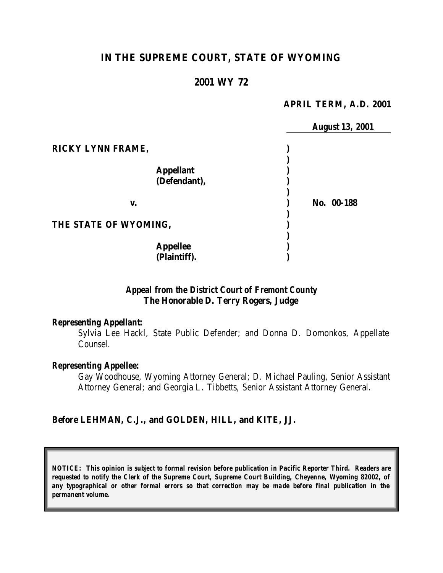# **IN THE SUPREME COURT, STATE OF WYOMING**

### **2001 WY 72**

#### **APRIL TERM, A.D. 2001**

|                       | <b>August 13, 2001</b> |
|-----------------------|------------------------|
| RICKY LYNN FRAME,     |                        |
|                       |                        |
| <b>Appellant</b>      |                        |
| (Defendant),          |                        |
|                       |                        |
| v.                    | No. 00-188             |
|                       |                        |
| THE STATE OF WYOMING, |                        |
|                       |                        |
| <b>Appellee</b>       |                        |
| (Plaintiff).          |                        |

# *Appeal from the District Court of Fremont County* **The Honorable D. Terry Rogers, Judge**

#### *Representing Appellant:*

Sylvia Lee Hackl, State Public Defender; and Donna D. Domonkos, Appellate Counsel.

#### *Representing Appellee:*

Gay Woodhouse, Wyoming Attorney General; D. Michael Pauling, Senior Assistant Attorney General; and Georgia L. Tibbetts, Senior Assistant Attorney General.

#### **Before LEHMAN, C.J., and GOLDEN, HILL, and KITE, JJ.**

*NOTICE: This opinion is subject to formal revision before publication in Pacific Reporter Third. Readers are requested to notify the Clerk of the Supreme Court, Supreme Court Building, Cheyenne, Wyoming 82002, of any typographical or other formal errors so that correction may be made before final publication in the permanent volume.*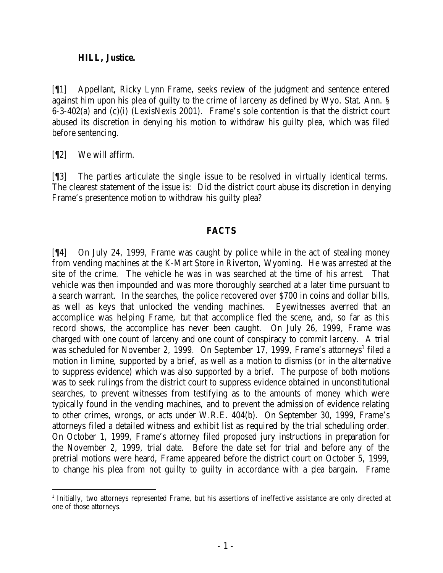## **HILL, Justice.**

[¶1] Appellant, Ricky Lynn Frame, seeks review of the judgment and sentence entered against him upon his plea of guilty to the crime of larceny as defined by Wyo. Stat. Ann. § 6-3-402(a) and (c)(i) (LexisNexis 2001). Frame's sole contention is that the district court abused its discretion in denying his motion to withdraw his guilty plea, which was filed before sentencing.

[¶2] We will affirm.

[¶3] The parties articulate the single issue to be resolved in virtually identical terms. The clearest statement of the issue is: Did the district court abuse its discretion in denying Frame's presentence motion to withdraw his guilty plea?

# **FACTS**

[¶4] On July 24, 1999, Frame was caught by police while in the act of stealing money from vending machines at the K-Mart Store in Riverton, Wyoming. He was arrested at the site of the crime. The vehicle he was in was searched at the time of his arrest. That vehicle was then impounded and was more thoroughly searched at a later time pursuant to a search warrant. In the searches, the police recovered over \$700 in coins and dollar bills, as well as keys that unlocked the vending machines. Eyewitnesses averred that an accomplice was helping Frame, but that accomplice fled the scene, and, so far as this record shows, the accomplice has never been caught. On July 26, 1999, Frame was charged with one count of larceny and one count of conspiracy to commit larceny. A trial was scheduled for November 2, 1999. On September 17, 1999, Frame's attorneys<sup>1</sup> filed a motion in limine, supported by a brief, as well as a motion to dismiss (or in the alternative to suppress evidence) which was also supported by a brief. The purpose of both motions was to seek rulings from the district court to suppress evidence obtained in unconstitutional searches, to prevent witnesses from testifying as to the amounts of money which were typically found in the vending machines, and to prevent the admission of evidence relating to other crimes, wrongs, or acts under W.R.E. 404(b). On September 30, 1999, Frame's attorneys filed a detailed witness and exhibit list as required by the trial scheduling order. On October 1, 1999, Frame's attorney filed proposed jury instructions in preparation for the November 2, 1999, trial date. Before the date set for trial and before any of the pretrial motions were heard, Frame appeared before the district court on October 5, 1999, to change his plea from not guilty to guilty in accordance with a plea bargain. Frame

<sup>1</sup> Initially, two attorneys represented Frame, but his assertions of ineffective assistance are only directed at one of those attorneys.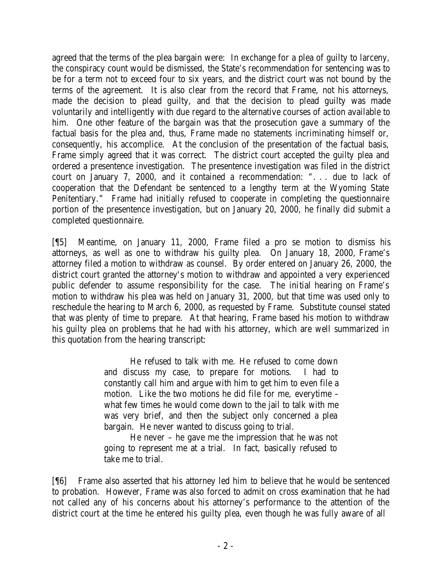agreed that the terms of the plea bargain were: In exchange for a plea of guilty to larceny, the conspiracy count would be dismissed, the State's recommendation for sentencing was to be for a term not to exceed four to six years, and the district court was not bound by the terms of the agreement. It is also clear from the record that Frame, not his attorneys, made the decision to plead guilty, and that the decision to plead guilty was made voluntarily and intelligently with due regard to the alternative courses of action available to him. One other feature of the bargain was that the prosecution gave a summary of the factual basis for the plea and, thus, Frame made no statements incriminating himself or, consequently, his accomplice. At the conclusion of the presentation of the factual basis, Frame simply agreed that it was correct. The district court accepted the guilty plea and ordered a presentence investigation. The presentence investigation was filed in the district court on January 7, 2000, and it contained a recommendation: ". . . due to lack of cooperation that the Defendant be sentenced to a lengthy term at the Wyoming State Penitentiary." Frame had initially refused to cooperate in completing the questionnaire portion of the presentence investigation, but on January 20, 2000, he finally did submit a completed questionnaire.

[¶5] Meantime, on January 11, 2000, Frame filed a pro se motion to dismiss his attorneys, as well as one to withdraw his guilty plea. On January 18, 2000, Frame's attorney filed a motion to withdraw as counsel. By order entered on January 26, 2000, the district court granted the attorney's motion to withdraw and appointed a very experienced public defender to assume responsibility for the case. The initial hearing on Frame's motion to withdraw his plea was held on January 31, 2000, but that time was used only to reschedule the hearing to March 6, 2000, as requested by Frame. Substitute counsel stated that was plenty of time to prepare. At that hearing, Frame based his motion to withdraw his guilty plea on problems that he had with his attorney, which are well summarized in this quotation from the hearing transcript:

> He refused to talk with me. He refused to come down and discuss my case, to prepare for motions. I had to constantly call him and argue with him to get him to even file a motion. Like the two motions he did file for me, everytime – what few times he would come down to the jail to talk with me was very brief, and then the subject only concerned a plea bargain. He never wanted to discuss going to trial.

He never – he gave me the impression that he was not going to represent me at a trial. In fact, basically refused to take me to trial.

[¶6] Frame also asserted that his attorney led him to believe that he would be sentenced to probation. However, Frame was also forced to admit on cross examination that he had not called any of his concerns about his attorney's performance to the attention of the district court at the time he entered his guilty plea, even though he was fully aware of all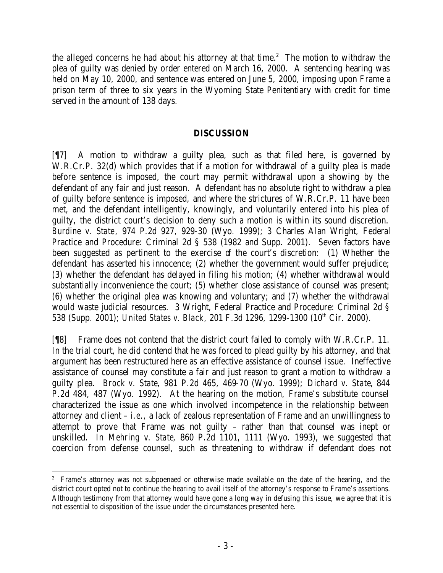the alleged concerns he had about his attorney at that time.<sup>2</sup> The motion to withdraw the plea of guilty was denied by order entered on March 16, 2000. A sentencing hearing was held on May 10, 2000, and sentence was entered on June 5, 2000, imposing upon Frame a prison term of three to six years in the Wyoming State Penitentiary with credit for time served in the amount of 138 days.

### **DISCUSSION**

[¶7] A motion to withdraw a guilty plea, such as that filed here, is governed by W.R.Cr.P. 32(d) which provides that if a motion for withdrawal of a guilty plea is made before sentence is imposed, the court may permit withdrawal upon a showing by the defendant of any fair and just reason. A defendant has no absolute right to withdraw a plea of guilty before sentence is imposed, and where the strictures of W.R.Cr.P. 11 have been met, and the defendant intelligently, knowingly, and voluntarily entered into his plea of guilty, the district court's decision to deny such a motion is within its sound discretion. *Burdine v. State*, 974 P.2d 927, 929-30 (Wyo. 1999); 3 Charles Alan Wright, Federal Practice and Procedure: Criminal 2d § 538 (1982 and Supp. 2001). Seven factors have been suggested as pertinent to the exercise of the court's discretion: (1) Whether the defendant has asserted his innocence; (2) whether the government would suffer prejudice; (3) whether the defendant has delayed in filing his motion; (4) whether withdrawal would substantially inconvenience the court; (5) whether close assistance of counsel was present; (6) whether the original plea was knowing and voluntary; and (7) whether the withdrawal would waste judicial resources. 3 Wright, Federal Practice and Procedure: Criminal 2d § 538 (Supp. 2001); *United States v. Black*, 201 F.3d 1296, 1299-1300 (10<sup>th</sup> Cir. 2000).

[¶8] Frame does not contend that the district court failed to comply with W.R.Cr.P. 11. In the trial court, he did contend that he was forced to plead guilty by his attorney, and that argument has been restructured here as an effective assistance of counsel issue. Ineffective assistance of counsel may constitute a fair and just reason to grant a motion to withdraw a guilty plea. *Brock v. State*, 981 P.2d 465, 469-70 (Wyo. 1999); *Dichard v. State*, 844 P.2d 484, 487 (Wyo. 1992). At the hearing on the motion, Frame's substitute counsel characterized the issue as one which involved incompetence in the relationship between attorney and client – *i.e.,* a lack of zealous representation of Frame and an unwillingness to attempt to prove that Frame was not guilty – rather than that counsel was inept or unskilled. In *Mehring v. State*, 860 P.2d 1101, 1111 (Wyo. 1993), we suggested that coercion from defense counsel, such as threatening to withdraw if defendant does not

<sup>2</sup> Frame's attorney was not subpoenaed or otherwise made available on the date of the hearing, and the district court opted not to continue the hearing to avail itself of the attorney's response to Frame's assertions. Although testimony from that attorney would have gone a long way in defusing this issue, we agree that it is not essential to disposition of the issue under the circumstances presented here.